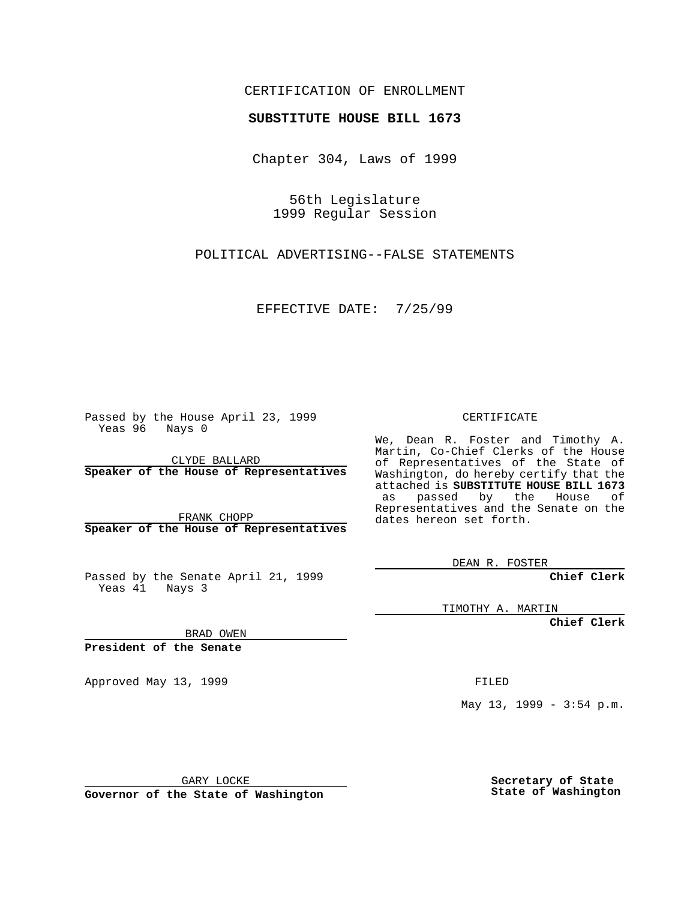### CERTIFICATION OF ENROLLMENT

# **SUBSTITUTE HOUSE BILL 1673**

Chapter 304, Laws of 1999

56th Legislature 1999 Regular Session

POLITICAL ADVERTISING--FALSE STATEMENTS

EFFECTIVE DATE: 7/25/99

Passed by the House April 23, 1999 Yeas 96 Nays 0

CLYDE BALLARD **Speaker of the House of Representatives**

FRANK CHOPP **Speaker of the House of Representatives**

Passed by the Senate April 21, 1999 Yeas 41 Nays 3

CERTIFICATE

We, Dean R. Foster and Timothy A. Martin, Co-Chief Clerks of the House of Representatives of the State of Washington, do hereby certify that the attached is **SUBSTITUTE HOUSE BILL 1673** as passed by the House of Representatives and the Senate on the dates hereon set forth.

DEAN R. FOSTER

**Chief Clerk**

TIMOTHY A. MARTIN

**Chief Clerk**

BRAD OWEN

**President of the Senate**

Approved May 13, 1999 **FILED** 

May 13, 1999 - 3:54 p.m.

GARY LOCKE

**Governor of the State of Washington**

**Secretary of State State of Washington**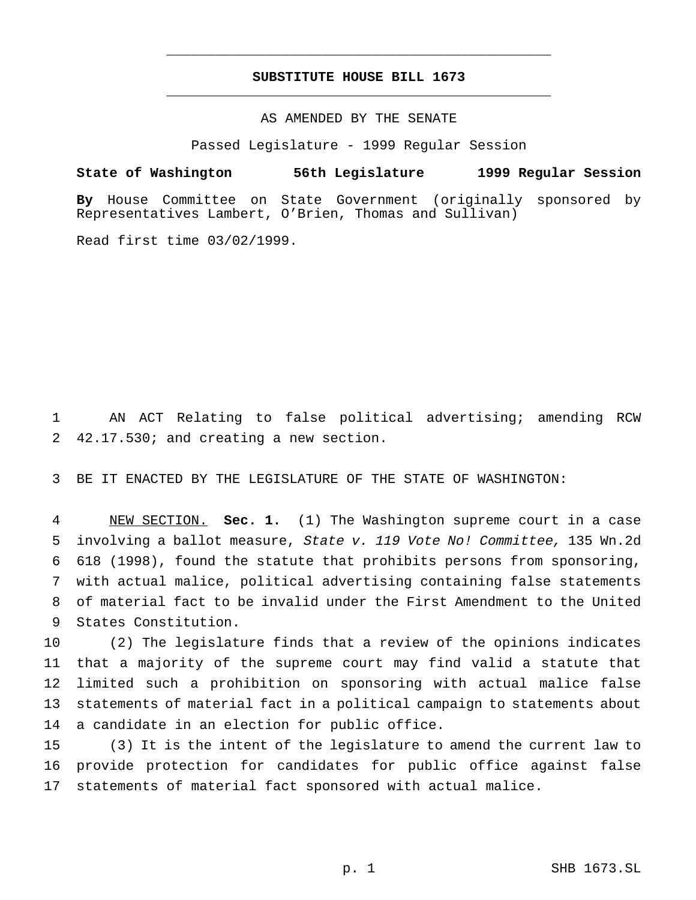## **SUBSTITUTE HOUSE BILL 1673** \_\_\_\_\_\_\_\_\_\_\_\_\_\_\_\_\_\_\_\_\_\_\_\_\_\_\_\_\_\_\_\_\_\_\_\_\_\_\_\_\_\_\_\_\_\_\_

\_\_\_\_\_\_\_\_\_\_\_\_\_\_\_\_\_\_\_\_\_\_\_\_\_\_\_\_\_\_\_\_\_\_\_\_\_\_\_\_\_\_\_\_\_\_\_

#### AS AMENDED BY THE SENATE

Passed Legislature - 1999 Regular Session

#### **State of Washington 56th Legislature 1999 Regular Session**

**By** House Committee on State Government (originally sponsored by Representatives Lambert, O'Brien, Thomas and Sullivan)

Read first time 03/02/1999.

 AN ACT Relating to false political advertising; amending RCW 42.17.530; and creating a new section.

BE IT ENACTED BY THE LEGISLATURE OF THE STATE OF WASHINGTON:

 NEW SECTION. **Sec. 1.** (1) The Washington supreme court in a case involving a ballot measure, State v. <sup>119</sup> Vote No! Committee, 135 Wn.2d 618 (1998), found the statute that prohibits persons from sponsoring, with actual malice, political advertising containing false statements of material fact to be invalid under the First Amendment to the United States Constitution.

 (2) The legislature finds that a review of the opinions indicates that a majority of the supreme court may find valid a statute that limited such a prohibition on sponsoring with actual malice false statements of material fact in a political campaign to statements about a candidate in an election for public office.

 (3) It is the intent of the legislature to amend the current law to provide protection for candidates for public office against false statements of material fact sponsored with actual malice.